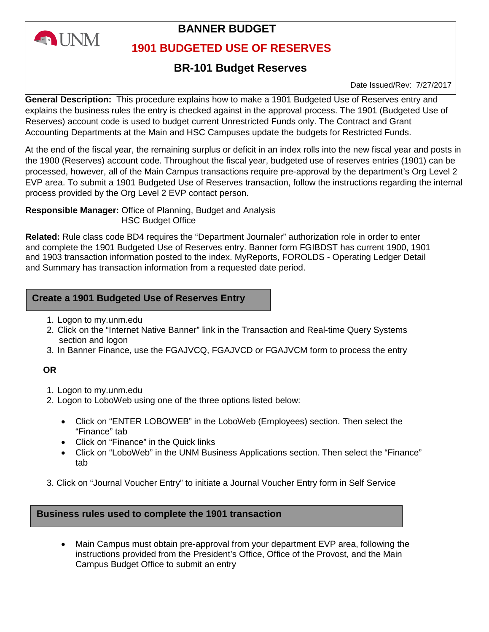

# **BANNER BUDGET**

## **1901 BUDGETED USE OF RESERVES**

# **BR-101 Budget Reserves**

Date Issued/Rev: 7/27/2017

**General Description:** This procedure explains how to make a 1901 Budgeted Use of Reserves entry and explains the business rules the entry is checked against in the approval process. The 1901 (Budgeted Use of Reserves) account code is used to budget current Unrestricted Funds only. The Contract and Grant Accounting Departments at the Main and HSC Campuses update the budgets for Restricted Funds.

At the end of the fiscal year, the remaining surplus or deficit in an index rolls into the new fiscal year and posts in the 1900 (Reserves) account code. Throughout the fiscal year, budgeted use of reserves entries (1901) can be processed, however, all of the Main Campus transactions require pre-approval by the department's Org Level 2 EVP area. To submit a 1901 Budgeted Use of Reserves transaction, follow the instructions regarding the internal process provided by the Org Level 2 EVP contact person.

**Responsible Manager:** Office of Planning, Budget and Analysis HSC Budget Office

**Related:** Rule class code BD4 requires the "Department Journaler" authorization role in order to enter and complete the 1901 Budgeted Use of Reserves entry. Banner form FGIBDST has current 1900, 1901 and 1903 transaction information posted to the index. MyReports, FOROLDS - Operating Ledger Detail and Summary has transaction information from a requested date period.

## **Create a 1901 Budgeted Use of Reserves Entry**

- 1. Logon to my.unm.edu
- 2. Click on the "Internet Native Banner" link in the Transaction and Real-time Query Systems section and logon
- 3. In Banner Finance, use the FGAJVCQ, FGAJVCD or FGAJVCM form to process the entry

## **OR**

- 1. Logon to my.unm.edu
- 2. Logon to LoboWeb using one of the three options listed below:
	- Click on "ENTER LOBOWEB" in the LoboWeb (Employees) section. Then select the "Finance" tab
	- Click on "Finance" in the Quick links
	- Click on "LoboWeb" in the UNM Business Applications section. Then select the "Finance" tab
- 3. Click on "Journal Voucher Entry" to initiate a Journal Voucher Entry form in Self Service

## **Business rules used to complete the 1901 transaction**

• Main Campus must obtain pre-approval from your department EVP area, following the instructions provided from the President's Office, Office of the Provost, and the Main Campus Budget Office to submit an entry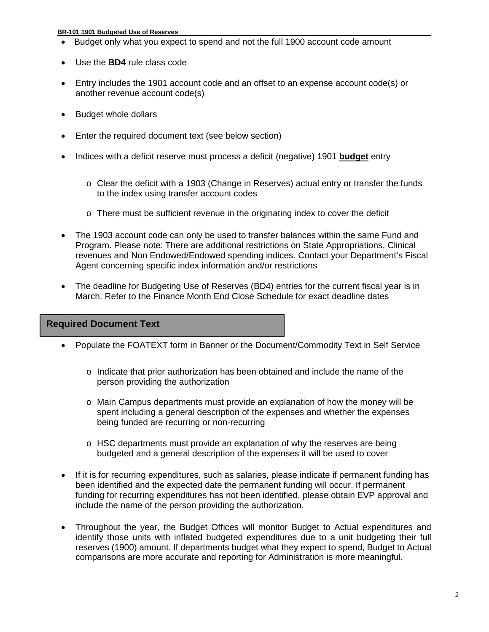#### **BR-101 1901 Budgeted Use of Reserves**

- Budget only what you expect to spend and not the full 1900 account code amount
- Use the **BD4** rule class code
- Entry includes the 1901 account code and an offset to an expense account code(s) or another revenue account code(s)
- Budget whole dollars
- Enter the required document text (see below section)
- Indices with a deficit reserve must process a deficit (negative) 1901 **budget** entry
	- $\circ$  Clear the deficit with a 1903 (Change in Reserves) actual entry or transfer the funds to the index using transfer account codes
	- o There must be sufficient revenue in the originating index to cover the deficit
- The 1903 account code can only be used to transfer balances within the same Fund and Program. Please note: There are additional restrictions on State Appropriations, Clinical revenues and Non Endowed/Endowed spending indices. Contact your Department's Fiscal Agent concerning specific index information and/or restrictions
- The deadline for Budgeting Use of Reserves (BD4) entries for the current fiscal year is in March. Refer to the Finance Month End Close Schedule for exact deadline dates

## **Required Document Text**

- Populate the FOATEXT form in Banner or the Document/Commodity Text in Self Service
	- $\circ$  Indicate that prior authorization has been obtained and include the name of the person providing the authorization
	- o Main Campus departments must provide an explanation of how the money will be spent including a general description of the expenses and whether the expenses being funded are recurring or non-recurring
	- $\circ$  HSC departments must provide an explanation of why the reserves are being budgeted and a general description of the expenses it will be used to cover
- If it is for recurring expenditures, such as salaries, please indicate if permanent funding has been identified and the expected date the permanent funding will occur. If permanent funding for recurring expenditures has not been identified, please obtain EVP approval and include the name of the person providing the authorization.
- Throughout the year, the Budget Offices will monitor Budget to Actual expenditures and identify those units with inflated budgeted expenditures due to a unit budgeting their full reserves (1900) amount. If departments budget what they expect to spend, Budget to Actual comparisons are more accurate and reporting for Administration is more meaningful.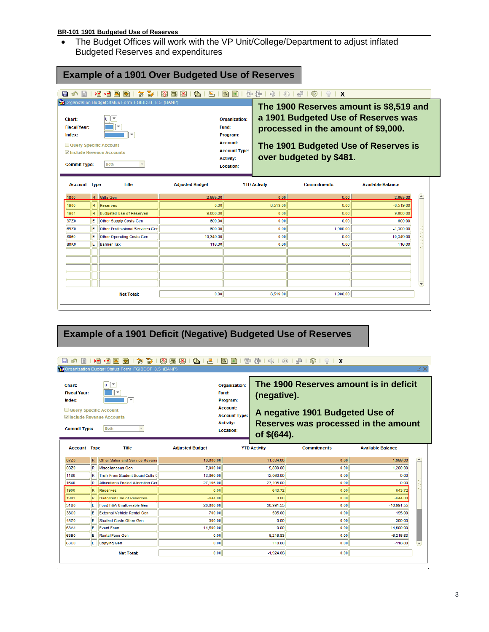#### **BR-101 1901 Budgeted Use of Reserves**

• The Budget Offices will work with the VP Unit/College/Department to adjust inflated Budgeted Reserves and expenditures

| 寄<br>$\bigoplus_{i=1}^n$<br>≻∃<br>⊣⊟<br>御<br>P<br>$ \mathbf{x} $<br>昌<br>a)<br>圃<br>目<br>a<br>н<br>Organization Budget Status Form FGIBDST 8.5 (BANP)<br>×<br>lυ<br>Chart:<br>$\overline{\phantom{a}}$<br><b>Fiscal Year:</b><br>$\Rightarrow$<br>Index:<br>Query Specific Account<br>Include Revenue Accounts<br><b>Both</b><br><b>Commit Type:</b> |     |                                 |                        | 唐<br>좋<br>$\mathbb{R}$ +<br>钟<br>癌<br>$\lceil \cdot \rceil$<br>⊛<br>$\heartsuit$<br>$\mathbf{X}$<br>The 1900 Reserves amount is \$8,519 and<br>a 1901 Budgeted Use of Reserves was<br><b>Organization:</b><br>Fund:<br>processed in the amount of \$9,000.<br>Program:<br><b>Account:</b><br>The 1901 Budgeted Use of Reserves is<br><b>Account Type:</b><br>over budgeted by \$481.<br><b>Activity:</b><br>Location: |                     |                    |                                    |
|------------------------------------------------------------------------------------------------------------------------------------------------------------------------------------------------------------------------------------------------------------------------------------------------------------------------------------------------------|-----|---------------------------------|------------------------|-----------------------------------------------------------------------------------------------------------------------------------------------------------------------------------------------------------------------------------------------------------------------------------------------------------------------------------------------------------------------------------------------------------------------|---------------------|--------------------|------------------------------------|
| <b>Account Type</b>                                                                                                                                                                                                                                                                                                                                  |     | <b>Title</b>                    | <b>Adjusted Budget</b> |                                                                                                                                                                                                                                                                                                                                                                                                                       | <b>YTD Activity</b> | <b>Commitments</b> | <b>Available Balance</b>           |
| 1000                                                                                                                                                                                                                                                                                                                                                 |     | R Gifts Gen                     | 2,665.00               |                                                                                                                                                                                                                                                                                                                                                                                                                       | 0.00                | 0.00               | $\blacktriangle$<br>2,665.00       |
| 1900                                                                                                                                                                                                                                                                                                                                                 |     |                                 |                        |                                                                                                                                                                                                                                                                                                                                                                                                                       |                     |                    |                                    |
|                                                                                                                                                                                                                                                                                                                                                      | R.  | Reserves                        | 0.00                   |                                                                                                                                                                                                                                                                                                                                                                                                                       | 8.519.00            | 0.00               | $-8,519.00$                        |
|                                                                                                                                                                                                                                                                                                                                                      | R.  | Budgeted Use of Reserves        | 9,000.00               |                                                                                                                                                                                                                                                                                                                                                                                                                       | 0.00                | 0.00               | 9,000.00                           |
|                                                                                                                                                                                                                                                                                                                                                      | lE. | Other Supply Costs Gen          | 600.00                 |                                                                                                                                                                                                                                                                                                                                                                                                                       | 0.00                | 0.00               | 600.00                             |
|                                                                                                                                                                                                                                                                                                                                                      | lE. | Other Professional Services Ger | 600.00                 |                                                                                                                                                                                                                                                                                                                                                                                                                       | 0.00                | 1.900.00           | $-1.300.00$                        |
|                                                                                                                                                                                                                                                                                                                                                      | le. | Other Operating Costs Gen       | 10.349.00              |                                                                                                                                                                                                                                                                                                                                                                                                                       | 0.00                | 0.00               | 10,349.00                          |
| 1901<br>37Z0<br>69Z0<br>8060<br><b>80K0</b>                                                                                                                                                                                                                                                                                                          | lE. | Banner Tax                      | 116.00                 |                                                                                                                                                                                                                                                                                                                                                                                                                       | 0.00                | 0.00               | 116.00<br>$\overline{\phantom{a}}$ |

## **Example of a 1901 Deficit (Negative) Budgeted Use of Reserves**

#### 800010000199019818910181818191414141410191X Organization Budget Stat Form FGIRE ST 85 (BAL

| $\overline{\phantom{a}}$<br>Chart:<br><b>Fiscal Year:</b><br>$\overline{\phantom{a}}$<br>Index:<br>Query Specific Account<br>Include Revenue Accounts<br><b>Both</b><br><b>Commit Type:</b> | <b>Organization:</b><br>Fund:<br>Program:<br><b>Account:</b><br><b>Account Type:</b><br><b>Activity:</b><br>Location: | The 1900 Reserves amount is in deficit<br>(negative).<br>A negative 1901 Budgeted Use of<br>Reserves was processed in the amount<br>of \$(644). |
|---------------------------------------------------------------------------------------------------------------------------------------------------------------------------------------------|-----------------------------------------------------------------------------------------------------------------------|-------------------------------------------------------------------------------------------------------------------------------------------------|
| <b>Adjusted Budget</b><br>Title<br><b>Account Type</b>                                                                                                                                      |                                                                                                                       | <b>YTD Activity</b><br><b>Available Balance</b><br><b>Commitments</b>                                                                           |

| rivovani i jpo |     | $\cdots$                           | <b>HALLOW DUALLY</b> |             | ----------------- | Attanapic Dalamoc |
|----------------|-----|------------------------------------|----------------------|-------------|-------------------|-------------------|
| 07Z0           |     | R Other Sales and Service Revenu   | 13,000.00            | 11,034.00   | 0.00              | 1,966.00          |
| 08Z0           | IR. | Miscellaneous Gen                  | 7,000.00             | 5,800.00    | 0.00              | 1,200.00          |
| 1180           | IR. | Trsfr From Student Social Cultu 0  | 12,060.00            | 12,060.00   | 0.00              | 0.00              |
| 1640           | IR. | Allocations Pooled Allocation Ger  | 27,195.00            | 27,195.00   | 0.00              | 0.00              |
| 1900           | IR. | Reserves                           | 0.00                 | $-643.72$   | 0.00              | 643.72            |
| 1901           | IR. | Budgeted Use of Reserves           | $-644.00$            | 0.00        | 0.00              | $-644.00$         |
| 31B0           | E.  | Food F&A Unallowable Gen           | 20,000.00            | 30,991.55   | 0.00              | $-10,991.55$      |
| <b>38C0</b>    | IE. | <b>External Vehicle Rental Gen</b> | 700.00               | 505.00      | 0.00              | 195.00            |
| 45Z0           | E   | Student Costs Other Gen            | 300.00               | 0.00        | 0.00              | 300.00            |
| 63A1           | E   | <b>Event Fees</b>                  | 14,500.00            | 0.00        | 0.00              | 14,500.00         |
| 63B0           | IE. | Rental Fees Gen                    | 0.00                 | 6,216.83    | 0.00              | $-6,216.83$       |
| 63C0           | IE. | Copying Gen                        | 0.00                 | 118.80      | 0.00              | $-118.80$         |
|                |     | <b>Net Total:</b>                  | 0.00                 | $-1,924.08$ | 0.00              |                   |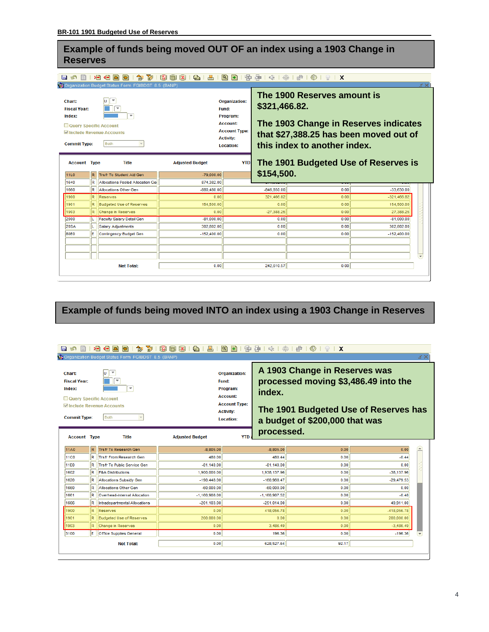## **Example of funds being moved OUT OF an index using a 1903 Change in Reserves**

#### 

| Chart:<br><b>Fiscal Year:</b><br>Index:<br>Query Specific Account<br><b>Commit Type:</b><br><b>Account Type</b><br><b>11L0</b> | R                         | <b>VALO</b> rganization Budget Status Form FGIBDST 8.5 (BANP)<br>$\overline{\phantom{a}}$<br>U<br>$\overline{\phantom{a}}$<br>Include Revenue Accounts<br><b>Both</b><br><b>Title</b><br>Trsfr To Student Aid Gen | <b>Adiusted Budget</b><br>$-79,000.00$ | <b>Organization:</b><br>Fund:<br>Program:<br><b>Account:</b><br><b>Account Type:</b><br><b>Activity:</b><br><b>Location:</b><br><b>YTD</b> | \$321,466.82.<br>\$154,500. | The 1900 Reserves amount is<br>The 1903 Change in Reserves indicates<br>that \$27,388.25 has been moved out of<br>this index to another index.<br>The 1901 Budgeted Use of Reserves is |               |                          |
|--------------------------------------------------------------------------------------------------------------------------------|---------------------------|-------------------------------------------------------------------------------------------------------------------------------------------------------------------------------------------------------------------|----------------------------------------|--------------------------------------------------------------------------------------------------------------------------------------------|-----------------------------|----------------------------------------------------------------------------------------------------------------------------------------------------------------------------------------|---------------|--------------------------|
| 1640                                                                                                                           | R                         | Allocations Pooled Allocation Ger                                                                                                                                                                                 | 874,382.00                             |                                                                                                                                            |                             |                                                                                                                                                                                        |               |                          |
| 1660                                                                                                                           | R                         | Allocations Other Gen                                                                                                                                                                                             | $-880,480.00$                          |                                                                                                                                            | $-846.850.00$               | 0.00                                                                                                                                                                                   | $-33.630.00$  |                          |
| 1900                                                                                                                           | R                         | <b>Reserves</b>                                                                                                                                                                                                   | 0.00                                   |                                                                                                                                            | 321,466.82                  | 0.00                                                                                                                                                                                   | $-321,466.82$ |                          |
| 1901                                                                                                                           | R                         | <b>Budgeted Use of Reserves</b>                                                                                                                                                                                   | 154,500.00                             |                                                                                                                                            | 0.00                        | 0.00                                                                                                                                                                                   | 154.500.00    |                          |
| 1903                                                                                                                           | R.                        | <b>Change in Reserves</b>                                                                                                                                                                                         | 0.00                                   |                                                                                                                                            | $-27,388.25$                | 0.00                                                                                                                                                                                   | 27,388.25     |                          |
| 2000                                                                                                                           |                           | Faculty Salary Detail Gen                                                                                                                                                                                         | $-81,000,00$                           |                                                                                                                                            | 0.00                        | 0.00                                                                                                                                                                                   | $-81,000.00$  |                          |
| <b>20SA</b>                                                                                                                    | L                         | <b>Salary Adjustments</b>                                                                                                                                                                                         | 302.802.00                             |                                                                                                                                            | 0.00                        | 0.00                                                                                                                                                                                   | 302.802.00    |                          |
| <b>80E0</b>                                                                                                                    | E                         | <b>Contingency Budget Gen</b>                                                                                                                                                                                     | $-152,400.00$                          |                                                                                                                                            | 0.00                        | 0.00                                                                                                                                                                                   | $-152,400.00$ |                          |
|                                                                                                                                |                           |                                                                                                                                                                                                                   |                                        |                                                                                                                                            |                             |                                                                                                                                                                                        |               |                          |
|                                                                                                                                |                           |                                                                                                                                                                                                                   |                                        |                                                                                                                                            |                             |                                                                                                                                                                                        |               |                          |
|                                                                                                                                |                           |                                                                                                                                                                                                                   |                                        |                                                                                                                                            |                             |                                                                                                                                                                                        |               | $\overline{\phantom{a}}$ |
|                                                                                                                                | 0.00<br><b>Net Total:</b> |                                                                                                                                                                                                                   |                                        |                                                                                                                                            | 242.610.57                  | 0.00                                                                                                                                                                                   |               |                          |

# **Example of funds being moved INTO an index using a 1903 Change in Reserves**

#### 日の日1名伯画画1命商1路画路1曲1画1画图1字串1余1余1#10191X **窗**Organ orm EGIBDST 8.5 (BAN) **A 1903 Change in Reserves was**   $\sqrt{v}$ **Chart:** Organization: ŌŒ **Fiscal Year:** Fund: **processed moving \$3,486.49 into the**  Program: Index: ⊩ **index. Account:** Query Specific Account **Account Type:** Include Revenue Accounts **The 1901 Budgeted Use of Reserves has Activity: Commit Type:** Both **Location: a budget of \$200,000 that was processed. Account Type** Title **Adjusted Budget YTD**  $11A0$ R Trsfr To Research Gen  $-8,805.00$  $-8,805.00$  $0.00$  $0.00$  $11C0$ R Trsfr From Research Gen 480.00 480.44  $0.00$  $-0.44$ R Trsfr To Public Service Gen 11F0  $0.00$  $-81,140,00$  $-81,140,00$  $0.00$  $1602$ R F&A Distributions 1,938,137.96  $0.00$ -38,137.96 1,900,000.00 R Allocations Subsidy Gen 1620  $-190.448.00$  $-160.968.47$  $0.00$  $-29.479.53$ 1660 R Allocations Other Gen  $-60,000,00$  $-60.000.00$  $0.00$  $\overline{0.00}$  $1661$ R Overhead-Internal Allocation  $-1,160,908.00$  $-1,160,907.52$  $0.00$  $-0.48$ **R** Intradepartmental Allocations  $0.00$ 1666  $-201.103.00$  $-251.014.00$ 49.911.00  $1900$  $R$  Reserves  $0.00$ 418,056.78  $0.00$ -418,056.78 1901 R Budgeted Use of Reserves 200,000.00  $0.00$  $0.00$ 200,000.00 1903 R Change in Reserves 3.486.49  $0.00$  $-3.486.49$  $0.00$  $-196.36$  $3100$ E Office Supplies General  $0.00$ 196.36  $0.00$ **Net Total:**  $\overline{0.00}$ 628,527.64  $92.17$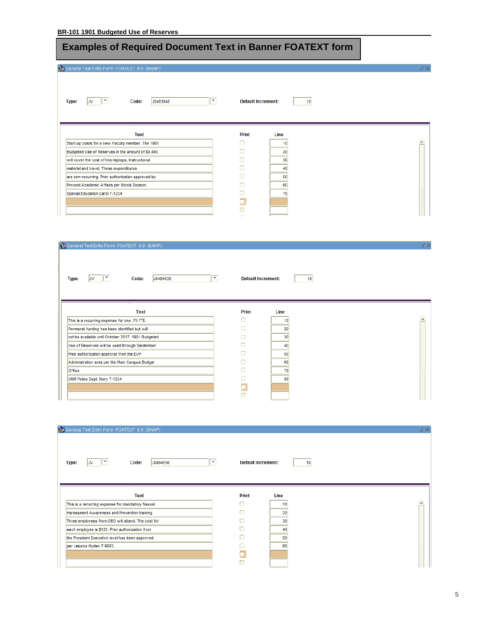# **Examples of Required Document Text in Banner FOATEXT form**

 $\mathbf{E}$ 

General Text Entry Form FOATEXT 8.9 (BANP)

Type:  $JV$ 

 $\boxed{\phantom{1}}$  10 **Default Increment:** 

| Text                                               | Print | Line |
|----------------------------------------------------|-------|------|
| Start-up costs for a new Faculty member. The 1901  |       |      |
| Budgeted Use of Reserves in the amount of \$8,400  |       | 20   |
| will cover the cost of two laptops, Instructional  |       | 30   |
| material and travel. These expenditures            |       |      |
| are non-recurring. Prior authorization approved by |       | 50   |
| Provost Academic Affairs per Nicole Dopson.        |       | 60   |
| Special Education Carol 7-1234                     |       | 70   |
|                                                    |       |      |
|                                                    |       |      |
|                                                    |       |      |

| General Text Entry Form FOATEXT 8.9 (BANP)                                                             |                           | ¥Χ                     |
|--------------------------------------------------------------------------------------------------------|---------------------------|------------------------|
| $\overline{\phantom{a}}$<br>$\overline{\phantom{a}}$<br>J0494530<br>Code:<br><b>Type:</b><br><b>JV</b> | <b>Default Increment:</b> | 10                     |
| <b>Text</b>                                                                                            | <b>Print</b>              | Line                   |
| This is a recurring expense for one .75 FTE.                                                           |                           | $\blacktriangle$<br>10 |
| Permanet funding has been identified but will                                                          |                           | 20                     |
| not be available until October 2017. 1901 Budgeted                                                     |                           | 30                     |
| Use of Reserves will be used through September.                                                        |                           | 40                     |
| Prior authorization approval from the EVP                                                              |                           | 50                     |
| Administration area per the Main Campus Budget                                                         |                           | 60                     |
| Office.                                                                                                |                           | 70                     |
| UNM Police Dept. Mary 7-1234                                                                           |                           | 80                     |
|                                                                                                        |                           |                        |
|                                                                                                        |                           |                        |

| General Text Entry Form FOATEXT 8.9 (BANP)                                               |                           | м×               |
|------------------------------------------------------------------------------------------|---------------------------|------------------|
| $\overline{\phantom{a}}$<br>$\overline{\phantom{a}}$<br>Code:<br>J0494536<br>Type:<br>JV | <b>Default Increment:</b> | 10               |
| <b>Text</b>                                                                              | <b>Print</b><br>Line      |                  |
| This is a recurring expense for mandatory Sexual                                         | ٦<br>10                   | $\blacktriangle$ |
| Harassment Awareness and Prevention training.                                            | 20                        |                  |
| Three employees from OEO will attend. The cost for                                       | 30                        |                  |
| each employee is \$125. Prior authorization from                                         | 40                        |                  |
| the President Executive level has been approved                                          | 50                        |                  |
| per Jessica Hyden 7-9083.                                                                | 60                        |                  |
|                                                                                          |                           |                  |
|                                                                                          |                           |                  |

≤ ×

£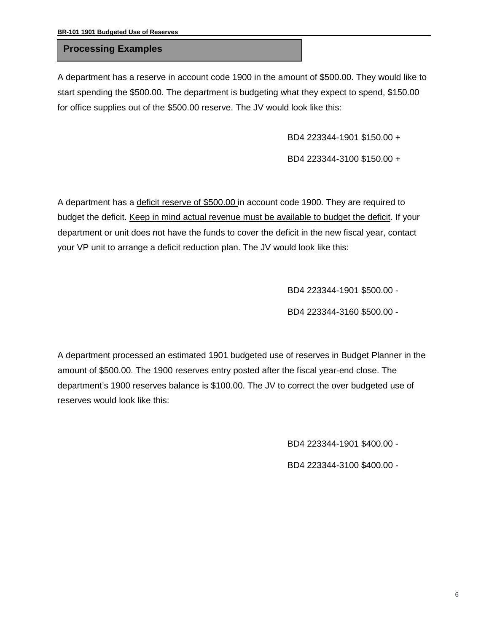## **Processing Examples**

A department has a reserve in account code 1900 in the amount of \$500.00. They would like to start spending the \$500.00. The department is budgeting what they expect to spend, \$150.00 for office supplies out of the \$500.00 reserve. The JV would look like this:

BD4 223344-1901 \$150.00 +

BD4 223344-3100 \$150.00 +

A department has a deficit reserve of \$500.00 in account code 1900. They are required to budget the deficit. Keep in mind actual revenue must be available to budget the deficit. If your department or unit does not have the funds to cover the deficit in the new fiscal year, contact your VP unit to arrange a deficit reduction plan. The JV would look like this:

BD4 223344-1901 \$500.00 -

BD4 223344-3160 \$500.00 -

A department processed an estimated 1901 budgeted use of reserves in Budget Planner in the amount of \$500.00. The 1900 reserves entry posted after the fiscal year-end close. The department's 1900 reserves balance is \$100.00. The JV to correct the over budgeted use of reserves would look like this:

BD4 223344-1901 \$400.00 -

BD4 223344-3100 \$400.00 -